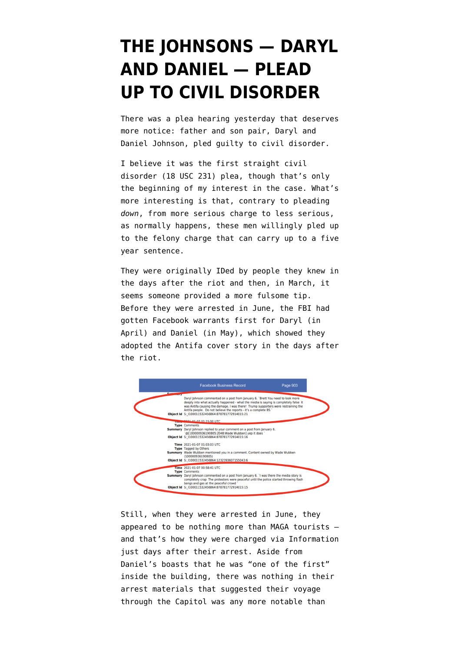## **[THE JOHNSONS — DARYL](https://www.emptywheel.net/2022/01/05/the-johnsons-daryl-and-daniel-plead-up-to-civil-disorder/) [AND DANIEL — PLEAD](https://www.emptywheel.net/2022/01/05/the-johnsons-daryl-and-daniel-plead-up-to-civil-disorder/) [UP TO CIVIL DISORDER](https://www.emptywheel.net/2022/01/05/the-johnsons-daryl-and-daniel-plead-up-to-civil-disorder/)**

There was a plea hearing yesterday that deserves more notice: father and son pair, Daryl and Daniel Johnson, pled guilty to civil disorder.

I believe it was the first straight civil disorder ([18 USC 231](https://www.law.cornell.edu/uscode/text/18/231)) plea, though that's only the beginning of my interest in the case. What's more interesting is that, contrary to pleading *down*, from more serious charge to less serious, as normally happens, these men willingly pled up to the felony charge that can carry up to a five year sentence.

They were originally IDed by people they knew in the days after the riot and then, in March, it seems someone provided a more fulsome tip. Before they were arrested in June, the FBI had gotten Facebook warrants first for Daryl (in April) and Daniel (in May), which showed they adopted the Antifa cover story in the days after the riot.



Still, when they were arrested in June, they appeared to be nothing more than MAGA tourists and that's how they were charged via Information just days after their arrest. Aside from Daniel's boasts that he was "one of the first" inside the building, there was nothing in their arrest materials that suggested their voyage through the Capitol was any more notable than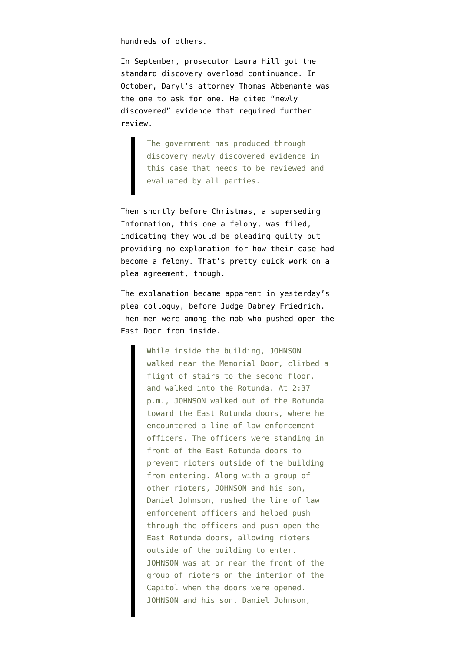hundreds of others.

In September, prosecutor Laura Hill [got the](https://storage.courtlistener.com/recap/gov.uscourts.dcd.232759/gov.uscourts.dcd.232759.26.0.pdf) [standard discovery overload continuance.](https://storage.courtlistener.com/recap/gov.uscourts.dcd.232759/gov.uscourts.dcd.232759.26.0.pdf) In October, Daryl's attorney Thomas Abbenante was [the one to ask for one](https://storage.courtlistener.com/recap/gov.uscourts.dcd.232759/gov.uscourts.dcd.232759.32.0.pdf). He cited "newly discovered" evidence that required further review.

> The government has produced through discovery newly discovered evidence in this case that needs to be reviewed and evaluated by all parties.

Then shortly before Christmas, [a superseding](https://storage.courtlistener.com/recap/gov.uscourts.dcd.232759/gov.uscourts.dcd.232759.35.0_1.pdf) [Information](https://storage.courtlistener.com/recap/gov.uscourts.dcd.232759/gov.uscourts.dcd.232759.35.0_1.pdf), this one a felony, was filed, indicating they would be pleading guilty but providing no explanation for how their case had become a felony. That's pretty quick work on a plea agreement, though.

The explanation became apparent in yesterday's plea colloquy, before Judge Dabney Friedrich. Then men were among the mob [who pushed open](https://storage.courtlistener.com/recap/gov.uscourts.dcd.232759/gov.uscourts.dcd.232759.39.0.pdf) the East Door from inside.

> While inside the building, JOHNSON walked near the Memorial Door, climbed a flight of stairs to the second floor, and walked into the Rotunda. At 2:37 p.m., JOHNSON walked out of the Rotunda toward the East Rotunda doors, where he encountered a line of law enforcement officers. The officers were standing in front of the East Rotunda doors to prevent rioters outside of the building from entering. Along with a group of other rioters, JOHNSON and his son, Daniel Johnson, rushed the line of law enforcement officers and helped push through the officers and push open the East Rotunda doors, allowing rioters outside of the building to enter. JOHNSON was at or near the front of the group of rioters on the interior of the Capitol when the doors were opened. JOHNSON and his son, Daniel Johnson,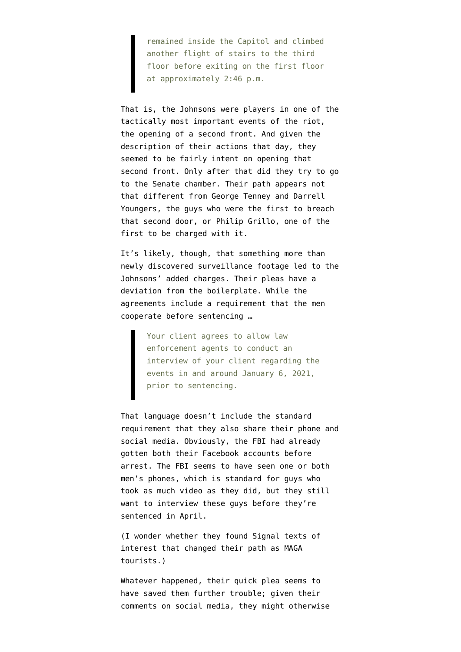remained inside the Capitol and climbed another flight of stairs to the third floor before exiting on the first floor at approximately 2:46 p.m.

That is, the Johnsons were players in one of the tactically most important events of the riot, the opening of a second front. And given the description of their actions that day, they seemed to be fairly intent on opening that second front. Only after that did they try to go to the Senate chamber. Their path appears not that different from [George Tenney and Darrell](https://www.emptywheel.net/2021/07/01/darrell-youngers-christopher-warnagiris-and-jason-dolan-marines-at-the-east-door/) [Youngers,](https://www.emptywheel.net/2021/07/01/darrell-youngers-christopher-warnagiris-and-jason-dolan-marines-at-the-east-door/) the guys who were the first to breach that second door, or [Philip Grillo](https://www.justice.gov/usao-dc/case-multi-defendant/file/1371396/download), one of the first to be charged with it.

It's likely, though, that something more than newly discovered surveillance footage led to the Johnsons' added charges. Their [pleas](https://storage.courtlistener.com/recap/gov.uscourts.dcd.232759/gov.uscourts.dcd.232759.37.0.pdf) have a deviation from the boilerplate. While the agreements include a requirement that the men cooperate before sentencing …

> Your client agrees to allow law enforcement agents to conduct an interview of your client regarding the events in and around January 6, 2021, prior to sentencing.

That language doesn't include the standard requirement that they also share their phone and social media. Obviously, the FBI had already gotten both their Facebook accounts before arrest. The FBI seems to have seen one or both men's phones, which is standard for guys who took as much video as they did, but they still want to interview these guys before they're sentenced in April.

(I wonder whether they found Signal texts of interest that changed their path as MAGA tourists.)

Whatever happened, their quick plea seems to have saved them further trouble; given their comments on social media, they might otherwise